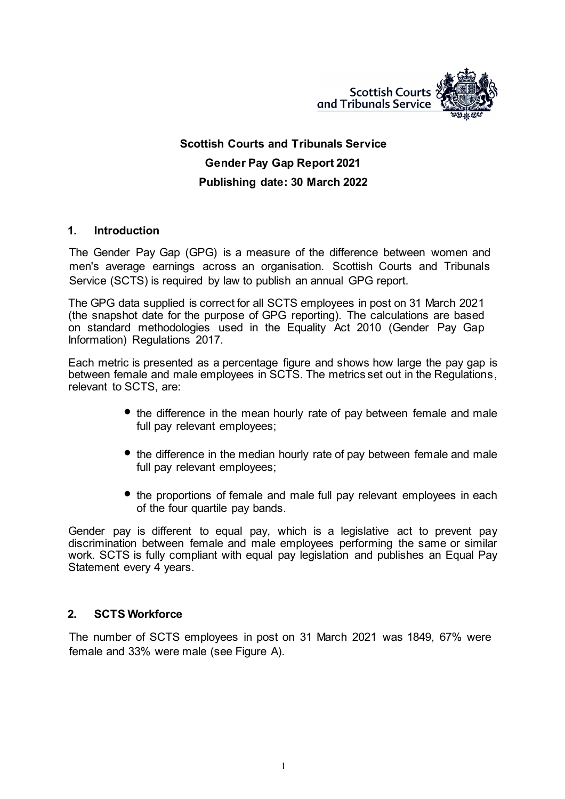

# **Scottish Courts and Tribunals Service Gender Pay Gap Report 2021 Publishing date: 30 March 2022**

### **1. Introduction**

The Gender Pay Gap (GPG) is a measure of the difference between women and men's average earnings across an organisation. Scottish Courts and Tribunals Service (SCTS) is required by law to publish an annual GPG report.

The GPG data supplied is correct for all SCTS employees in post on 31 March 2021 (the snapshot date for the purpose of GPG reporting). The calculations are based on standard methodologies used in the Equality Act 2010 (Gender Pay Gap Information) Regulations 2017.

Each metric is presented as a percentage figure and shows how large the pay gap is between female and male employees in SCTS. The metrics set out in the Regulations, relevant to SCTS, are:

- the difference in the mean hourly rate of pay between female and male full pay relevant employees;
- the difference in the median hourly rate of pay between female and male full pay relevant employees;
- the proportions of female and male full pay relevant employees in each of the four quartile pay bands.

Gender pay is different to equal pay, which is a legislative act to prevent pay discrimination between female and male employees performing the same or similar work. SCTS is fully compliant with equal pay legislation and publishes an Equal Pay Statement every 4 years.

### **2. SCTS Workforce**

The number of SCTS employees in post on 31 March 2021 was 1849, 67% were female and 33% were male (see Figure A).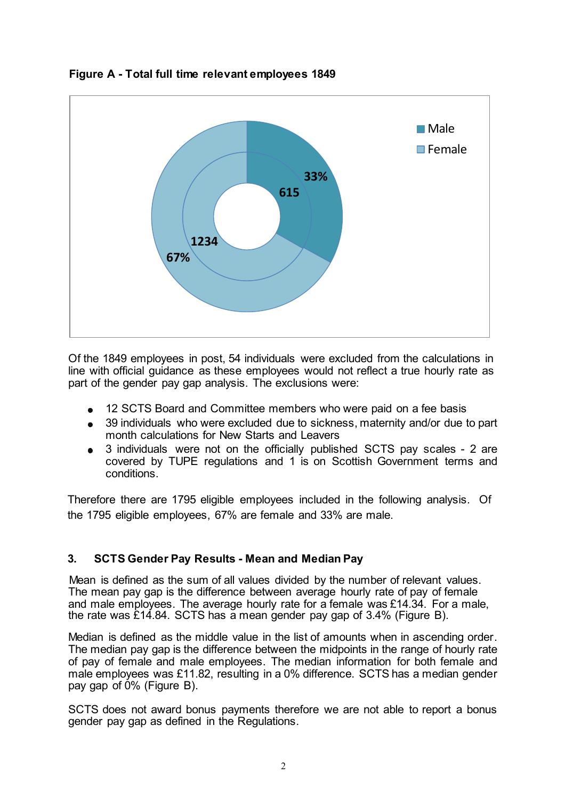

**Figure A - Total full time relevant employees 1849**

Of the 1849 employees in post, 54 individuals were excluded from the calculations in line with official guidance as these employees would not reflect a true hourly rate as part of the gender pay gap analysis. The exclusions were:

- 12 SCTS Board and Committee members who were paid on a fee basis
- 39 individuals who were excluded due to sickness, maternity and/or due to part month calculations for New Starts and Leavers
- 3 individuals were not on the officially published SCTS pay scales 2 are covered by TUPE regulations and 1 is on Scottish Government terms and conditions.

Therefore there are 1795 eligible employees included in the following analysis. Of the 1795 eligible employees, 67% are female and 33% are male.

## **3. SCTS Gender Pay Results - Mean and Median Pay**

Mean is defined as the sum of all values divided by the number of relevant values. The mean pay gap is the difference between average hourly rate of pay of female and male employees. The average hourly rate for a female was £14.34. For a male, the rate was £14.84. SCTS has a mean gender pay gap of 3.4% (Figure B).

Median is defined as the middle value in the list of amounts when in ascending order. The median pay gap is the difference between the midpoints in the range of hourly rate of pay of female and male employees. The median information for both female and male employees was £11.82, resulting in a 0% difference. SCTS has a median gender pay gap of 0% (Figure B).

SCTS does not award bonus payments therefore we are not able to report a bonus gender pay gap as defined in the Regulations.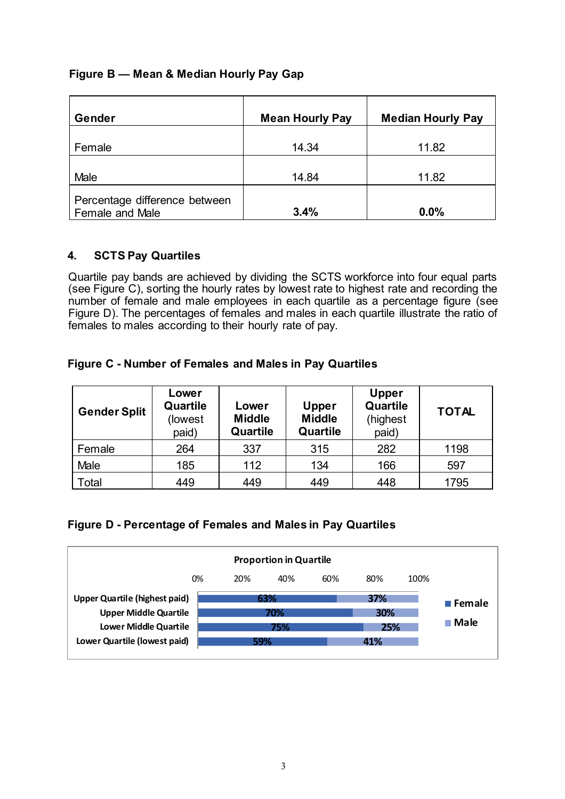### **Figure B — Mean & Median Hourly Pay Gap**

| Gender                                           | <b>Mean Hourly Pay</b> | <b>Median Hourly Pay</b> |
|--------------------------------------------------|------------------------|--------------------------|
| Female                                           | 14.34                  | 11.82                    |
| Male                                             | 14.84                  | 11.82                    |
| Percentage difference between<br>Female and Male | 3.4%                   | 0.0%                     |

### **4. SCTS Pay Quartiles**

Quartile pay bands are achieved by dividing the SCTS workforce into four equal parts (see Figure C), sorting the hourly rates by lowest rate to highest rate and recording the number of female and male employees in each quartile as a percentage figure (see Figure D). The percentages of females and males in each quartile illustrate the ratio of females to males according to their hourly rate of pay.

### **Figure C - Number of Females and Males in Pay Quartiles**

| <b>Gender Split</b> | Lower<br>Quartile<br>(lowest<br>paid) | Lower<br><b>Middle</b><br>Quartile | <b>Upper</b><br><b>Middle</b><br>Quartile | <b>Upper</b><br>Quartile<br>(highest<br>paid) | <b>TOTAL</b> |
|---------------------|---------------------------------------|------------------------------------|-------------------------------------------|-----------------------------------------------|--------------|
| Female              | 264                                   | 337                                | 315                                       | 282                                           | 1198         |
| Male                | 185                                   | 112                                | 134                                       | 166                                           | 597          |
| Total               | 449                                   | 449                                | 449                                       | 448                                           | 1795         |

### **Figure D - Percentage of Females and Males in Pay Quartiles**

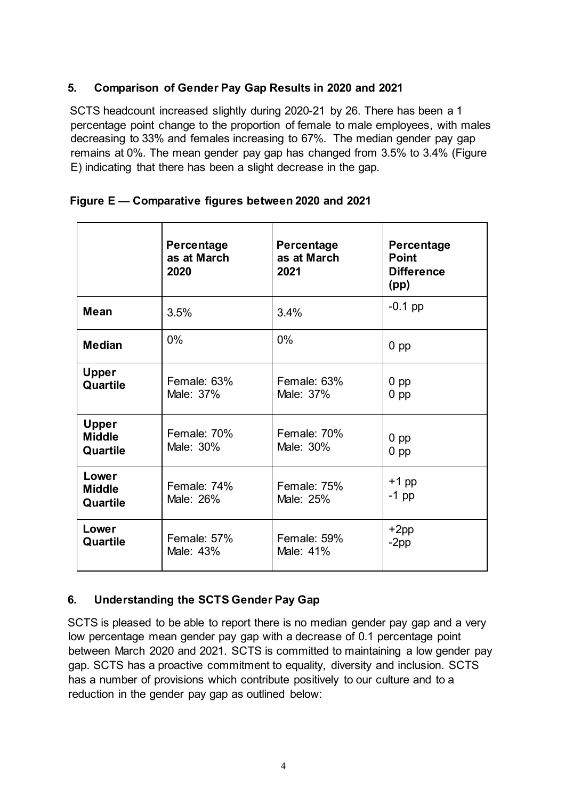### **5. Comparison of Gender Pay Gap Results in 2020 and 2021**

SCTS headcount increased slightly during 2020-21 by 26. There has been a 1 percentage point change to the proportion of female to male employees, with males decreasing to 33% and females increasing to 67%. The median gender pay gap remains at 0%. The mean gender pay gap has changed from 3.5% to 3.4% (Figure E) indicating that there has been a slight decrease in the gap.

|                                           | Percentage<br>as at March<br>2020 | Percentage<br>as at March<br>2021 | Percentage<br><b>Point</b><br><b>Difference</b><br>(pp) |
|-------------------------------------------|-----------------------------------|-----------------------------------|---------------------------------------------------------|
| <b>Mean</b>                               | 3.5%                              | 3.4%                              | $-0.1$ pp                                               |
| <b>Median</b>                             | $0\%$                             | 0%                                | $0$ pp                                                  |
| <b>Upper</b><br>Quartile                  | Female: 63%<br>Male: 37%          | Female: 63%<br>Male: 37%          | $0$ pp<br>$0$ pp                                        |
| <b>Upper</b><br><b>Middle</b><br>Quartile | Female: 70%<br>Male: 30%          | Female: 70%<br>Male: 30%          | $0$ pp<br>$0$ pp                                        |
| Lower<br><b>Middle</b><br>Quartile        | Female: 74%<br>Male: 26%          | Female: 75%<br>Male: 25%          | $+1$ pp<br>$-1$ pp                                      |
| Lower<br>Quartile                         | Female: 57%<br>Male: 43%          | Female: 59%<br>Male: 41%          | $+2pp$<br>$-2$ pp                                       |

### **Figure E — Comparative figures between 2020 and 2021**

### **6. Understanding the SCTS Gender Pay Gap**

SCTS is pleased to be able to report there is no median gender pay gap and a very low percentage mean gender pay gap with a decrease of 0.1 percentage point between March 2020 and 2021. SCTS is committed to maintaining a low gender pay gap. SCTS has a proactive commitment to equality, diversity and inclusion. SCTS has a number of provisions which contribute positively to our culture and to a reduction in the gender pay gap as outlined below: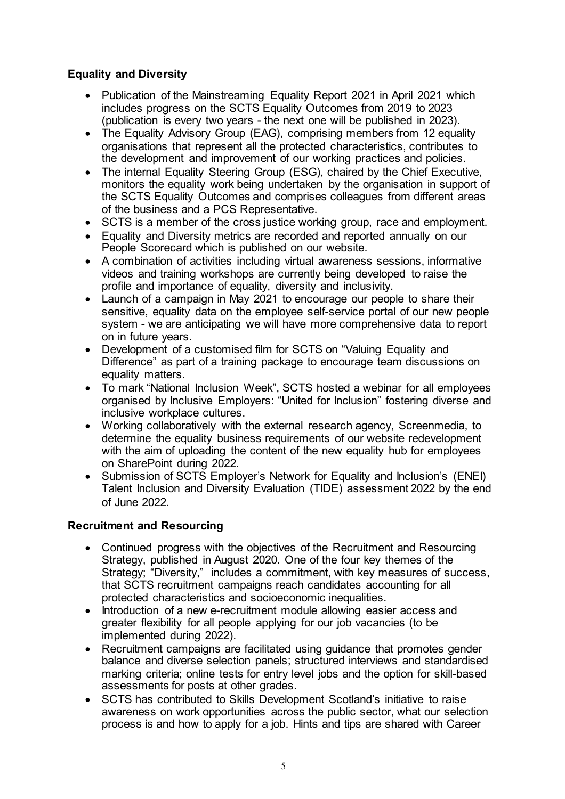### **Equality and Diversity**

- Publication of the Mainstreaming Equality Report 2021 in April 2021 which includes progress on the SCTS Equality Outcomes from 2019 to 2023 (publication is every two years - the next one will be published in 2023).
- The Equality Advisory Group (EAG), comprising members from 12 equality organisations that represent all the protected characteristics, contributes to the development and improvement of our working practices and policies.
- The internal Equality Steering Group (ESG), chaired by the Chief Executive, monitors the equality work being undertaken by the organisation in support of the SCTS Equality Outcomes and comprises colleagues from different areas of the business and a PCS Representative.
- SCTS is a member of the cross justice working group, race and employment.
- Equality and Diversity metrics are recorded and reported annually on our People Scorecard which is published on our website.
- A combination of activities including virtual awareness sessions, informative videos and training workshops are currently being developed to raise the profile and importance of equality, diversity and inclusivity.
- Launch of a campaign in May 2021 to encourage our people to share their sensitive, equality data on the employee self-service portal of our new people system - we are anticipating we will have more comprehensive data to report on in future years.
- Development of a customised film for SCTS on "Valuing Equality and Difference" as part of a training package to encourage team discussions on equality matters.
- To mark "National Inclusion Week", SCTS hosted a webinar for all employees organised by Inclusive Employers: "United for Inclusion" fostering diverse and inclusive workplace cultures.
- Working collaboratively with the external research agency, Screenmedia, to determine the equality business requirements of our website redevelopment with the aim of uploading the content of the new equality hub for employees on SharePoint during 2022.
- Submission of SCTS Employer's Network for Equality and Inclusion's (ENEI) Talent Inclusion and Diversity Evaluation (TIDE) assessment 2022 by the end of June 2022.

### **Recruitment and Resourcing**

- Continued progress with the objectives of the Recruitment and Resourcing Strategy, published in August 2020. One of the four key themes of the Strategy; "Diversity," includes a commitment, with key measures of success, that SCTS recruitment campaigns reach candidates accounting for all protected characteristics and socioeconomic inequalities.
- Introduction of a new e-recruitment module allowing easier access and greater flexibility for all people applying for our job vacancies (to be implemented during 2022).
- Recruitment campaigns are facilitated using guidance that promotes gender balance and diverse selection panels; structured interviews and standardised marking criteria; online tests for entry level jobs and the option for skill-based assessments for posts at other grades.
- SCTS has contributed to Skills Development Scotland's initiative to raise awareness on work opportunities across the public sector, what our selection process is and how to apply for a job. Hints and tips are shared with Career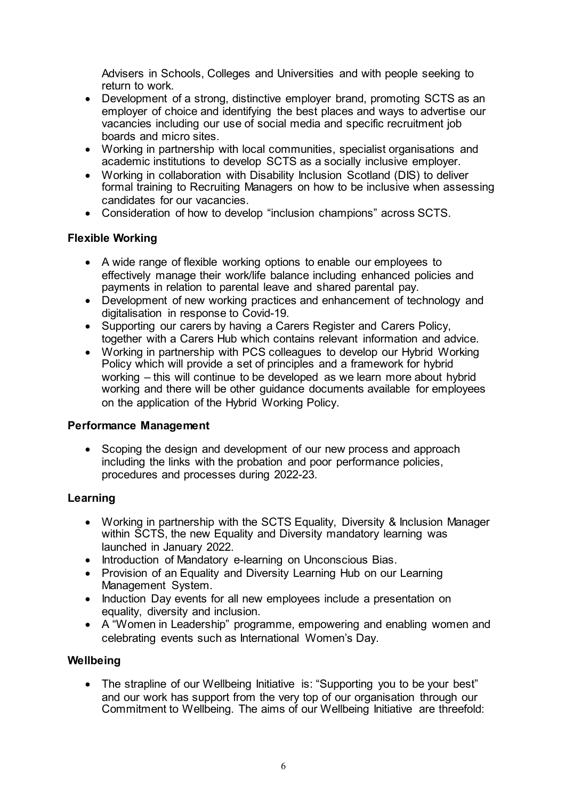Advisers in Schools, Colleges and Universities and with people seeking to return to work.

- Development of a strong, distinctive employer brand, promoting SCTS as an employer of choice and identifying the best places and ways to advertise our vacancies including our use of social media and specific recruitment job boards and micro sites.
- Working in partnership with local communities, specialist organisations and academic institutions to develop SCTS as a socially inclusive employer.
- Working in collaboration with Disability Inclusion Scotland (DIS) to deliver formal training to Recruiting Managers on how to be inclusive when assessing candidates for our vacancies.
- Consideration of how to develop "inclusion champions" across SCTS.

### **Flexible Working**

- A wide range of flexible working options to enable our employees to effectively manage their work/life balance including enhanced policies and payments in relation to parental leave and shared parental pay.
- Development of new working practices and enhancement of technology and digitalisation in response to Covid-19.
- Supporting our carers by having a Carers Register and Carers Policy, together with a Carers Hub which contains relevant information and advice.
- Working in partnership with PCS colleagues to develop our Hybrid Working Policy which will provide a set of principles and a framework for hybrid working – this will continue to be developed as we learn more about hybrid working and there will be other guidance documents available for employees on the application of the Hybrid Working Policy.

### **Performance Management**

• Scoping the design and development of our new process and approach including the links with the probation and poor performance policies, procedures and processes during 2022-23.

### **Learning**

- Working in partnership with the SCTS Equality, Diversity & Inclusion Manager within SCTS, the new Equality and Diversity mandatory learning was launched in January 2022.
- Introduction of Mandatory e-learning on Unconscious Bias.
- Provision of an Equality and Diversity Learning Hub on our Learning Management System.
- Induction Day events for all new employees include a presentation on equality, diversity and inclusion.
- A "Women in Leadership" programme, empowering and enabling women and celebrating events such as International Women's Day.

### **Wellbeing**

• The strapline of our Wellbeing Initiative is: "Supporting you to be your best" and our work has support from the very top of our organisation through our Commitment to Wellbeing. The aims of our Wellbeing Initiative are threefold: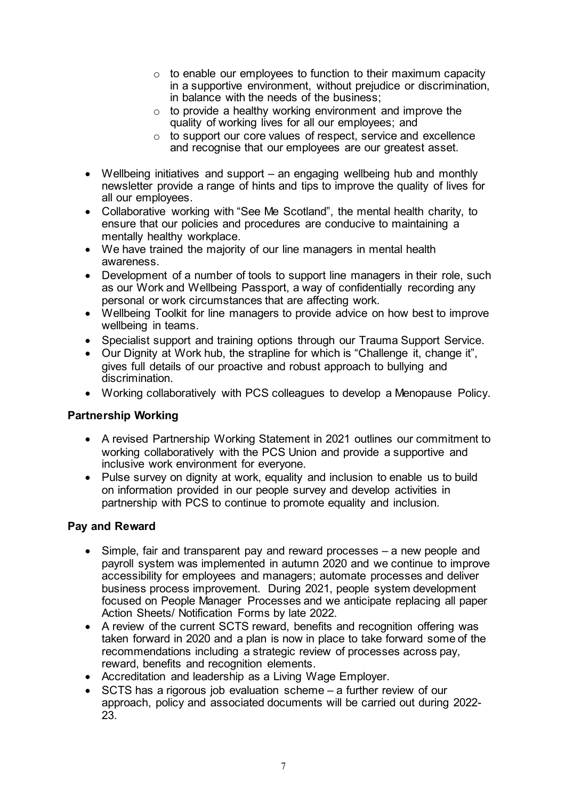- o to enable our employees to function to their maximum capacity in a supportive environment, without prejudice or discrimination, in balance with the needs of the business;
- $\circ$  to provide a healthy working environment and improve the quality of working lives for all our employees; and
- $\circ$  to support our core values of respect, service and excellence and recognise that our employees are our greatest asset.
- Wellbeing initiatives and support an engaging wellbeing hub and monthly newsletter provide a range of hints and tips to improve the quality of lives for all our employees.
- Collaborative working with "See Me Scotland", the mental health charity, to ensure that our policies and procedures are conducive to maintaining a mentally healthy workplace.
- We have trained the majority of our line managers in mental health awareness.
- Development of a number of tools to support line managers in their role, such as our Work and Wellbeing Passport, a way of confidentially recording any personal or work circumstances that are affecting work.
- Wellbeing Toolkit for line managers to provide advice on how best to improve wellbeing in teams.
- Specialist support and training options through our Trauma Support Service.
- Our Dignity at Work hub, the strapline for which is "Challenge it, change it". gives full details of our proactive and robust approach to bullying and discrimination.
- Working collaboratively with PCS colleagues to develop a Menopause Policy.

### **Partnership Working**

- A revised Partnership Working Statement in 2021 outlines our commitment to working collaboratively with the PCS Union and provide a supportive and inclusive work environment for everyone.
- Pulse survey on dignity at work, equality and inclusion to enable us to build on information provided in our people survey and develop activities in partnership with PCS to continue to promote equality and inclusion.

### **Pay and Reward**

- Simple, fair and transparent pay and reward processes a new people and payroll system was implemented in autumn 2020 and we continue to improve accessibility for employees and managers; automate processes and deliver business process improvement. During 2021, people system development focused on People Manager Processes and we anticipate replacing all paper Action Sheets/ Notification Forms by late 2022.
- A review of the current SCTS reward, benefits and recognition offering was taken forward in 2020 and a plan is now in place to take forward some of the recommendations including a strategic review of processes across pay, reward, benefits and recognition elements.
- Accreditation and leadership as a Living Wage Employer.
- SCTS has a rigorous job evaluation scheme a further review of our approach, policy and associated documents will be carried out during 2022- 23.